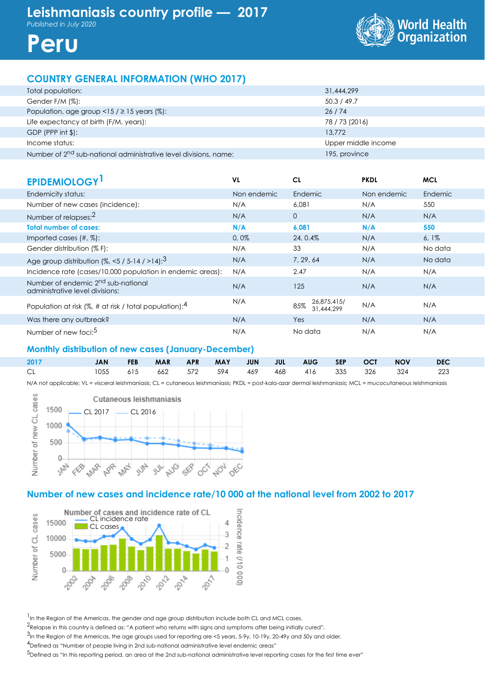



## **COUNTRY GENERAL INFORMATION (WHO 2017)**

| Total population:                                                            | 31,444,299          |
|------------------------------------------------------------------------------|---------------------|
| Gender F/M (%):                                                              | 50.3 / 49.7         |
| Population, age group <15 / $\geq$ 15 years (%):                             | 26/74               |
| Life expectancy at birth (F/M, years):                                       | 78 / 73 (2016)      |
| $GDP$ (PPP int $\frac{1}{2}$ ):                                              | 13.772              |
| Income status:                                                               | Upper middle income |
| Number of 2 <sup>nd</sup> sub-national administrative level divisions, name: | 195, province       |

| <b>EPIDEMIOLOGY</b>                                                               | VL          | CL                               | <b>PKDL</b> | <b>MCL</b> |
|-----------------------------------------------------------------------------------|-------------|----------------------------------|-------------|------------|
| Endemicity status:                                                                | Non endemic | Endemic                          | Non endemic | Endemic    |
| Number of new cases (incidence):                                                  | N/A         | 6,081                            | N/A         | 550        |
| Number of relapses: <sup>2</sup>                                                  | N/A         | $\overline{0}$                   | N/A         | N/A        |
| <b>Total number of cases:</b>                                                     | N/A         | 6,081                            | N/A         | 550        |
| Imported cases $(\#,\%)$ :                                                        | 0,0%        | 24, 0.4%                         | N/A         | $6,1\%$    |
| Gender distribution (% F):                                                        | N/A         | 33                               | N/A         | No data    |
| Age group distribution $(%, < 5 / 5 - 14 / > 14)$ : <sup>3</sup>                  | N/A         | 7, 29, 64                        | N/A         | No data    |
| Incidence rate (cases/10,000 population in endemic areas):                        | N/A         | 2.47                             | N/A         | N/A        |
| Number of endemic 2 <sup>nd</sup> sub-national<br>administrative level divisions: | N/A         | 125                              | N/A         | N/A        |
| Population at risk (%, # at risk / total population): $4$                         | N/A         | 26,875,415/<br>85%<br>31,444,299 | N/A         | N/A        |
| Was there any outbreak?                                                           | N/A         | Yes                              | N/A         | N/A        |
| Number of new foci: <sup>5</sup>                                                  | N/A         | No data                          | N/A         | N/A        |

## **Monthly distribution of new cases (January-December)**

| 2017 |  |  |  |  |  | JAN FEB MAR APR MAY JUN JUL AUG SEP OCT NOV DEC             |  |
|------|--|--|--|--|--|-------------------------------------------------------------|--|
| CL - |  |  |  |  |  | 1055  615  662  572  594  469  468  416  335  326  324  223 |  |

N/A not applicable; VL = visceral leishmaniasis; CL = cutaneous leishmaniasis; PKDL = post-kala-azar dermal leishmaniasis; MCL = mucocutaneous leishmaniasis



## **Number of new cases and incidence rate/10 000 at the national level from 2002 to 2017**



<sup>1</sup> In the Region of the Americas, the gender and age group distribution include both CL and MCL cases.

2Relapse in this country is defined as: "A patient who returns with signs and symptoms after being initially cured".

<sup>3</sup>In the Region of the Americas, the age groups used for reporting are <5 years, 5-9y, 10-19y, 20-49y and 50y and older.

4Defined as "Number of people living in 2nd sub-national administrative level endemic areas"

5Defined as "In this reporting period, an area at the 2nd sub-national administrative level reporting cases for the first time ever"